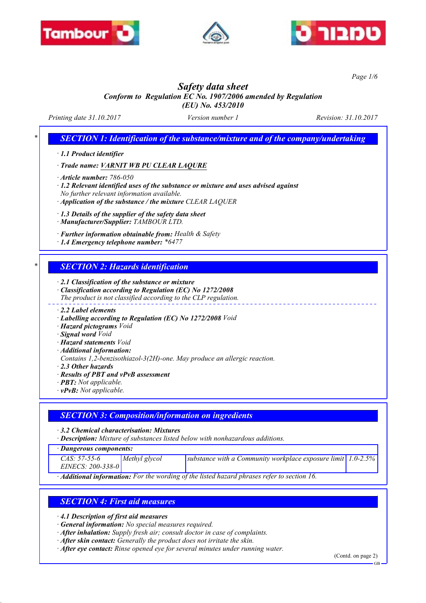





*Page 1/6*

# *Safety data sheet*

*Conform to Regulation EC No. 1907/2006 amended by Regulation (EU) No. 453/2010*

*Printing date 31.10.2017 Version number 1 Revision: 31.10.2017*

*SECTION 1: Identification of the substance/mixture and of the company/undertaking* 

*· 1.1 Product identifier*

*· Trade name: VARNIT WB PU CLEAR LAQURE*

*· Article number: 786-050*

*· 1.2 Relevant identified uses of the substance or mixture and uses advised against No further relevant information available.*

*· Application of the substance / the mixture CLEAR LAQUER*

*· 1.3 Details of the supplier of the safety data sheet*

*· Manufacturer/Supplier: TAMBOUR LTD.*

*· Further information obtainable from: Health & Safety*

*· 1.4 Emergency telephone number: \*6477*

### *\* SECTION 2: Hazards identification*

*· 2.1 Classification of the substance or mixture*

*· Classification according to Regulation (EC) No 1272/2008*

*The product is not classified according to the CLP regulation.*

*· 2.2 Label elements*

- *· Labelling according to Regulation (EC) No 1272/2008 Void*
- *· Hazard pictograms Void*
- *· Signal word Void*
- *· Hazard statements Void*
- *· Additional information:*
- *Contains 1,2-benzisothiazol-3(2H)-one. May produce an allergic reaction.*
- *· 2.3 Other hazards*
- *· Results of PBT and vPvB assessment*
- *· PBT: Not applicable.*
- *· vPvB: Not applicable.*

# *SECTION 3: Composition/information on ingredients*

*· 3.2 Chemical characterisation: Mixtures*

*· Description: Mixture of substances listed below with nonhazardous additions.*

*· Dangerous components:*

| $CAS: 57-55-6$    | Methyl glycol | substance with a Community workplace exposure limit $ 1.0-2.5\% $ |  |
|-------------------|---------------|-------------------------------------------------------------------|--|
| EINECS: 200-338-0 |               |                                                                   |  |

*· Additional information: For the wording of the listed hazard phrases refer to section 16.*

# *SECTION 4: First aid measures*

*· 4.1 Description of first aid measures*

- *· General information: No special measures required.*
- *· After inhalation: Supply fresh air; consult doctor in case of complaints.*
- *· After skin contact: Generally the product does not irritate the skin.*
- *· After eye contact: Rinse opened eye for several minutes under running water.*

(Contd. on page 2)

GB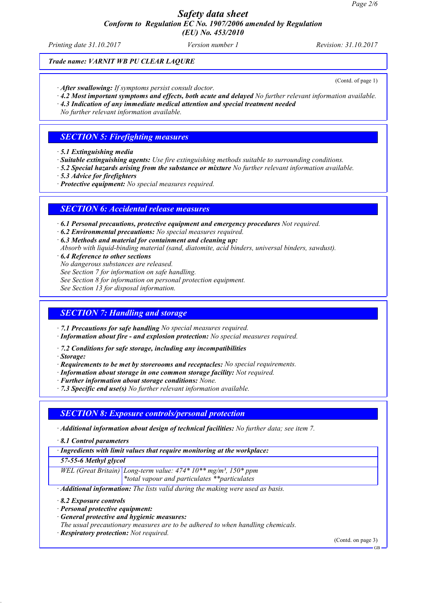*Safety data sheet Conform to Regulation EC No. 1907/2006 amended by Regulation*

*(EU) No. 453/2010*

*Printing date 31.10.2017 Version number 1 Revision: 31.10.2017*

### *Trade name: VARNIT WB PU CLEAR LAQURE*

(Contd. of page 1)

*· After swallowing: If symptoms persist consult doctor.*

*· 4.2 Most important symptoms and effects, both acute and delayed No further relevant information available.*

*· 4.3 Indication of any immediate medical attention and special treatment needed*

*No further relevant information available.*

### *SECTION 5: Firefighting measures*

- *· 5.1 Extinguishing media*
- *· Suitable extinguishing agents: Use fire extinguishing methods suitable to surrounding conditions.*
- *· 5.2 Special hazards arising from the substance or mixture No further relevant information available.*
- *· 5.3 Advice for firefighters*

*· Protective equipment: No special measures required.*

### *SECTION 6: Accidental release measures*

*· 6.1 Personal precautions, protective equipment and emergency procedures Not required.*

*· 6.2 Environmental precautions: No special measures required.*

*· 6.3 Methods and material for containment and cleaning up:*

- *Absorb with liquid-binding material (sand, diatomite, acid binders, universal binders, sawdust).*
- *· 6.4 Reference to other sections*
- *No dangerous substances are released.*

*See Section 7 for information on safe handling.*

*See Section 8 for information on personal protection equipment.*

*See Section 13 for disposal information.*

### *SECTION 7: Handling and storage*

*· 7.1 Precautions for safe handling No special measures required.*

- *· Information about fire and explosion protection: No special measures required.*
- *· 7.2 Conditions for safe storage, including any incompatibilities*
- *· Storage:*
- *· Requirements to be met by storerooms and receptacles: No special requirements.*
- *· Information about storage in one common storage facility: Not required.*
- *· Further information about storage conditions: None.*
- *· 7.3 Specific end use(s) No further relevant information available.*

### *SECTION 8: Exposure controls/personal protection*

- *· Additional information about design of technical facilities: No further data; see item 7.*
- *· 8.1 Control parameters*
- *· Ingredients with limit values that require monitoring at the workplace:*

*57-55-6 Methyl glycol*

*WEL (Great Britain) Long-term value: 474\* 10\*\* mg/m³, 150\* ppm*

*\*total vapour and particulates \*\*particulates*

*· Additional information: The lists valid during the making were used as basis.*

- *· 8.2 Exposure controls*
- *· Personal protective equipment:*
- *· General protective and hygienic measures:*
- *The usual precautionary measures are to be adhered to when handling chemicals.*
- *· Respiratory protection: Not required.*

(Contd. on page 3)

GB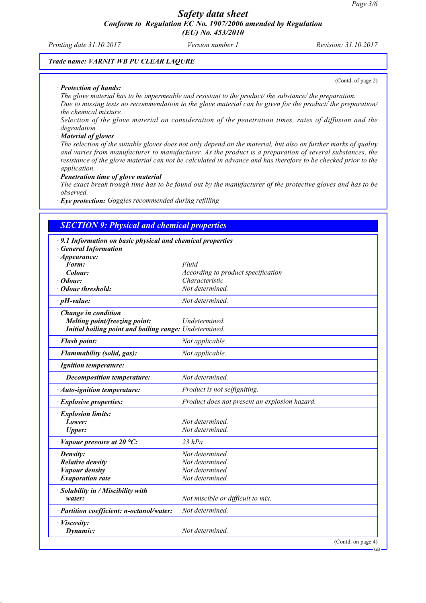*Printing date 31.10.2017 Version number 1 Revision: 31.10.2017*

(Contd. of page 2)

### *Trade name: VARNIT WB PU CLEAR LAQURE*

### *· Protection of hands:*

*The glove material has to be impermeable and resistant to the product/ the substance/ the preparation. Due to missing tests no recommendation to the glove material can be given for the product/ the preparation/ the chemical mixture.*

*Selection of the glove material on consideration of the penetration times, rates of diffusion and the degradation*

#### *· Material of gloves*

*The selection of the suitable gloves does not only depend on the material, but also on further marks of quality and varies from manufacturer to manufacturer. As the product is a preparation of several substances, the resistance of the glove material can not be calculated in advance and has therefore to be checked prior to the application.*

#### *· Penetration time of glove material*

*The exact break trough time has to be found out by the manufacturer of the protective gloves and has to be observed.*

*· Eye protection: Goggles recommended during refilling*

| · 9.1 Information on basic physical and chemical properties |                                               |
|-------------------------------------------------------------|-----------------------------------------------|
| <b>General Information</b>                                  |                                               |
| $\cdot$ Appearance:                                         |                                               |
| Form:                                                       | Fluid                                         |
| Colour:                                                     | According to product specification            |
| Odour:                                                      | Characteristic                                |
| · Odour threshold:                                          | Not determined.                               |
| $\cdot$ pH-value:                                           | Not determined.                               |
| $\cdot$ Change in condition                                 |                                               |
| Melting point/freezing point:                               | Undetermined.                                 |
| Initial boiling point and boiling range: Undetermined.      |                                               |
| · Flash point:                                              | Not applicable.                               |
| · Flammability (solid, gas):                                | Not applicable.                               |
| · Ignition temperature:                                     |                                               |
| <b>Decomposition temperature:</b>                           | Not determined.                               |
| · Auto-ignition temperature:                                | Product is not selfigniting.                  |
| · Explosive properties:                                     | Product does not present an explosion hazard. |
| · Explosion limits:                                         |                                               |
| Lower:                                                      | Not determined.                               |
| Upper:                                                      | Not determined.                               |
| $\cdot$ Vapour pressure at 20 °C:                           | $23$ hPa                                      |
| · Density:                                                  | Not determined.                               |
| $\cdot$ Relative density                                    | Not determined.                               |
| · Vapour density                                            | Not determined.                               |
| $\cdot$ Evaporation rate                                    | Not determined.                               |
| · Solubility in / Miscibility with                          |                                               |
| water:                                                      | Not miscible or difficult to mix.             |
| · Partition coefficient: n-octanol/water:                   | Not determined.                               |
| · Viscosity:                                                |                                               |
| Dynamic:                                                    | Not determined.                               |

GB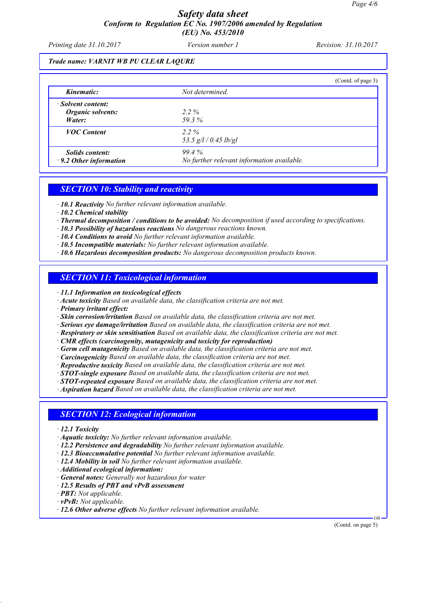### *Safety data sheet Conform to Regulation EC No. 1907/2006 amended by Regulation (EU) No. 453/2010*

*Printing date 31.10.2017 Version number 1 Revision: 31.10.2017*

### *Trade name: VARNIT WB PU CLEAR LAQURE*

|                                                         |                                                     | (Contd. of page 3) |
|---------------------------------------------------------|-----------------------------------------------------|--------------------|
| Kinematic:                                              | Not determined.                                     |                    |
| · Solvent content:<br>Organic solvents:<br>Water:       | $2.2\%$<br>59.3%                                    |                    |
| <b>VOC</b> Content                                      | $2.2\%$<br>53.5 $g/l / 0.45$ lb/gl                  |                    |
| <i>Solids content:</i><br>$\cdot$ 9.2 Other information | 99.4%<br>No further relevant information available. |                    |

### *SECTION 10: Stability and reactivity*

*· 10.1 Reactivity No further relevant information available.*

- *· 10.2 Chemical stability*
- *· Thermal decomposition / conditions to be avoided: No decomposition if used according to specifications.*
- *· 10.3 Possibility of hazardous reactions No dangerous reactions known.*
- *· 10.4 Conditions to avoid No further relevant information available.*
- *· 10.5 Incompatible materials: No further relevant information available.*
- *· 10.6 Hazardous decomposition products: No dangerous decomposition products known.*

### *SECTION 11: Toxicological information*

*· 11.1 Information on toxicological effects*

- *· Acute toxicity Based on available data, the classification criteria are not met.*
- *· Primary irritant effect:*
- *· Skin corrosion/irritation Based on available data, the classification criteria are not met.*
- *· Serious eye damage/irritation Based on available data, the classification criteria are not met.*
- *· Respiratory or skin sensitisation Based on available data, the classification criteria are not met.*
- *· CMR effects (carcinogenity, mutagenicity and toxicity for reproduction)*
- *· Germ cell mutagenicity Based on available data, the classification criteria are not met.*
- *· Carcinogenicity Based on available data, the classification criteria are not met.*
- *· Reproductive toxicity Based on available data, the classification criteria are not met.*
- *· STOT-single exposure Based on available data, the classification criteria are not met.*
- *· STOT-repeated exposure Based on available data, the classification criteria are not met.*

*· Aspiration hazard Based on available data, the classification criteria are not met.*

### *SECTION 12: Ecological information*

- *· 12.1 Toxicity*
- *· Aquatic toxicity: No further relevant information available.*
- *· 12.2 Persistence and degradability No further relevant information available.*
- *· 12.3 Bioaccumulative potential No further relevant information available.*
- *· 12.4 Mobility in soil No further relevant information available.*
- *· Additional ecological information:*
- *· General notes: Generally not hazardous for water*
- *· 12.5 Results of PBT and vPvB assessment*
- *· PBT: Not applicable.*
- *· vPvB: Not applicable.*
- *· 12.6 Other adverse effects No further relevant information available.*

(Contd. on page 5)

GB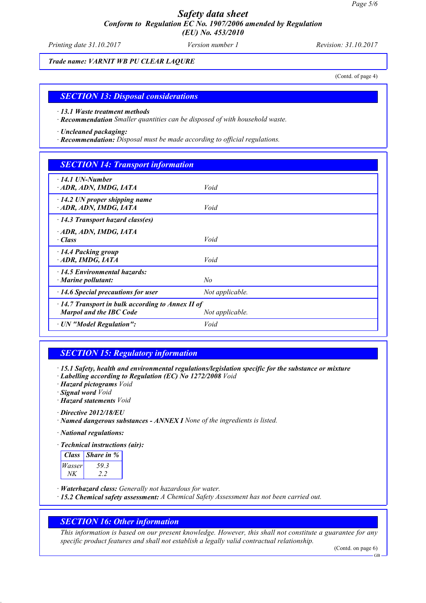## *Safety data sheet Conform to Regulation EC No. 1907/2006 amended by Regulation (EU) No. 453/2010*

*Printing date 31.10.2017 Version number 1 Revision: 31.10.2017*

*Trade name: VARNIT WB PU CLEAR LAQURE*

(Contd. of page 4)

### *SECTION 13: Disposal considerations*

*· 13.1 Waste treatment methods*

*· Recommendation Smaller quantities can be disposed of with household waste.*

*· Uncleaned packaging:*

*· Recommendation: Disposal must be made according to official regulations.*

### *SECTION 14: Transport information*

| $\cdot$ 14.1 UN-Number<br>ADR, ADN, IMDG, IATA                                     | Void            |
|------------------------------------------------------------------------------------|-----------------|
| $\cdot$ 14.2 UN proper shipping name<br>ADR, ADN, IMDG, IATA                       | Void            |
| $\cdot$ 14.3 Transport hazard class(es)                                            |                 |
| · ADR, ADN, IMDG, IATA<br>$\cdot$ Class                                            | Void            |
| $\cdot$ 14.4 Packing group<br>ADR, IMDG, IATA                                      | Void            |
| 14.5 Environmental hazards:<br>$\cdot$ Marine pollutant:                           | No              |
| $\cdot$ 14.6 Special precautions for user                                          | Not applicable. |
| $\cdot$ 14.7 Transport in bulk according to Annex II of<br>Marpol and the IBC Code | Not applicable. |
| · UN "Model Regulation":                                                           | Void            |

### *SECTION 15: Regulatory information*

*· 15.1 Safety, health and environmental regulations/legislation specific for the substance or mixture*

*· Labelling according to Regulation (EC) No 1272/2008 Void*

*· Hazard pictograms Void*

*· Signal word Void*

*· Hazard statements Void*

*· Directive 2012/18/EU*

*· Named dangerous substances - ANNEX I None of the ingredients is listed.*

*· National regulations:*

*· Technical instructions (air):*

| <b>Class</b> | Share in % |
|--------------|------------|
| Wasser       | 593        |
|              |            |

*· Waterhazard class: Generally not hazardous for water.*

*· 15.2 Chemical safety assessment: A Chemical Safety Assessment has not been carried out.*

### *SECTION 16: Other information*

*This information is based on our present knowledge. However, this shall not constitute a guarantee for any specific product features and shall not establish a legally valid contractual relationship.*

(Contd. on page 6)

GB